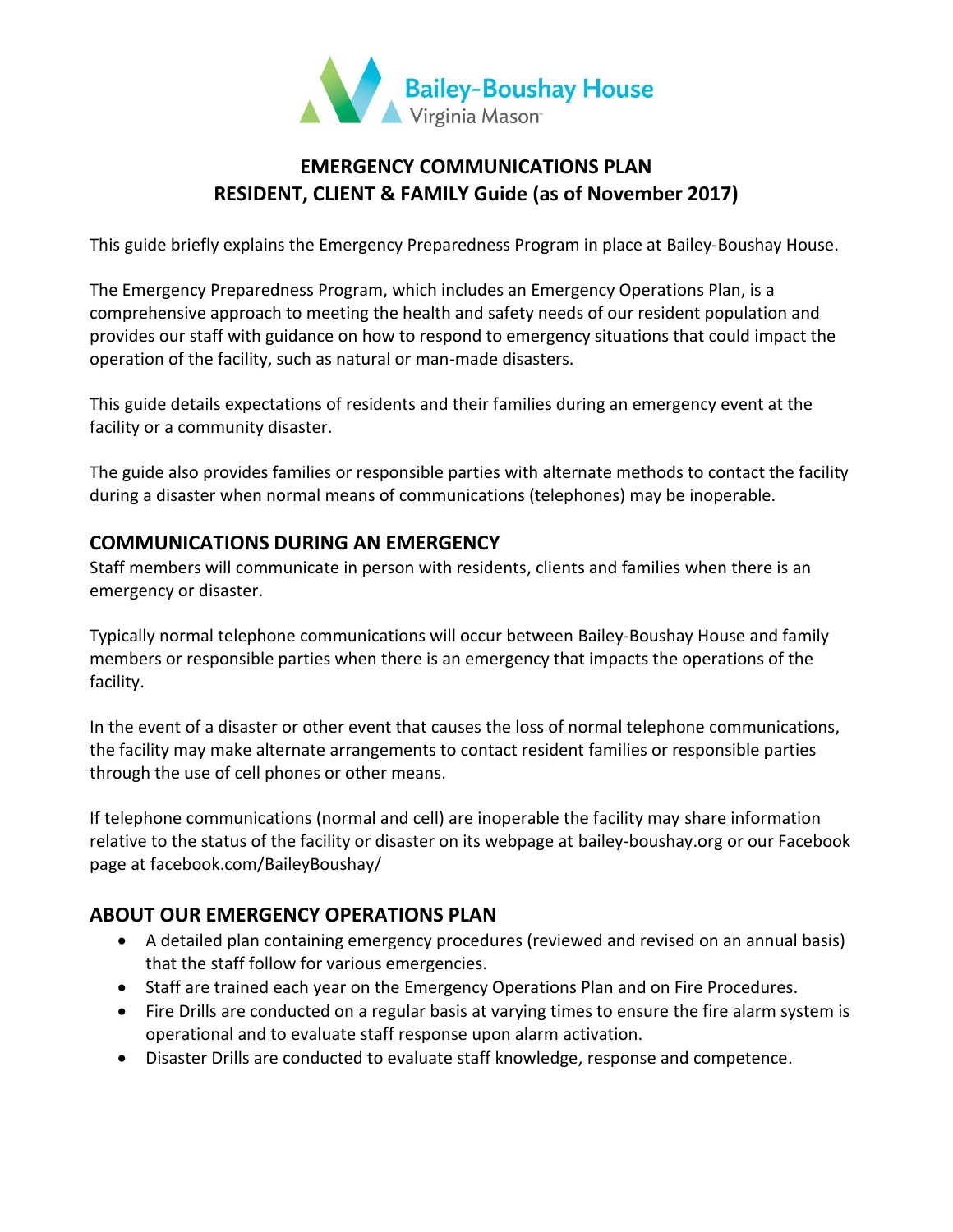

# **EMERGENCY COMMUNICATIONS PLAN RESIDENT, CLIENT & FAMILY Guide (as of November 2017)**

This guide briefly explains the Emergency Preparedness Program in place at Bailey-Boushay House.

The Emergency Preparedness Program, which includes an Emergency Operations Plan, is a comprehensive approach to meeting the health and safety needs of our resident population and provides our staff with guidance on how to respond to emergency situations that could impact the operation of the facility, such as natural or man-made disasters.

This guide details expectations of residents and their families during an emergency event at the facility or a community disaster.

The guide also provides families or responsible parties with alternate methods to contact the facility during a disaster when normal means of communications (telephones) may be inoperable.

### **COMMUNICATIONS DURING AN EMERGENCY**

Staff members will communicate in person with residents, clients and families when there is an emergency or disaster.

Typically normal telephone communications will occur between Bailey-Boushay House and family members or responsible parties when there is an emergency that impacts the operations of the facility.

In the event of a disaster or other event that causes the loss of normal telephone communications, the facility may make alternate arrangements to contact resident families or responsible parties through the use of cell phones or other means.

If telephone communications (normal and cell) are inoperable the facility may share information relative to the status of the facility or disaster on its webpage at bailey-boushay.org or our Facebook page at facebook.com/BaileyBoushay/

## **ABOUT OUR EMERGENCY OPERATIONS PLAN**

- A detailed plan containing emergency procedures (reviewed and revised on an annual basis) that the staff follow for various emergencies.
- Staff are trained each year on the Emergency Operations Plan and on Fire Procedures.
- Fire Drills are conducted on a regular basis at varying times to ensure the fire alarm system is operational and to evaluate staff response upon alarm activation.
- Disaster Drills are conducted to evaluate staff knowledge, response and competence.